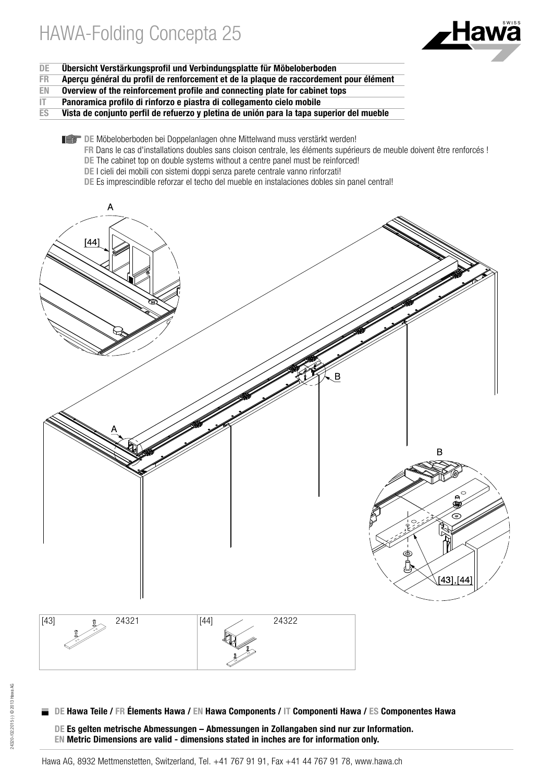

- DE Übersicht Verstärkungsprofil und Verbindungsplatte für Möbeloberboden<br>ER Apercu général du profil de renforcement et de la plague de raccordement
- FR Aperçu général du profil de renforcement et de la plaque de raccordement pour élément<br>EN Overview of the reinforcement profile and connecting plate for cabinet tops
- Overview of the reinforcement profile and connecting plate for cabinet tops
- $IT$  Panoramica profilo di rinforzo e piastra di collegamento cielo mobile<br>ES Vista de conjunto perfil de refuerzo y pletina de unión para la tapa su
- Vista de conjunto perfil de refuerzo y pletina de unión para la tapa superior del mueble
	- DE Möbeloberboden bei Doppelanlagen ohne Mittelwand muss verstärkt werden!
		- FR Dans le cas d'installations doubles sans cloison centrale, les éléments supérieurs de meuble doivent être renforcés !
		- DE The cabinet top on double systems without a centre panel must be reinforced!
		- DE I cieli dei mobili con sistemi doppi senza parete centrale vanno rinforzati!
		- DE Es imprescindible reforzar el techo del mueble en instalaciones dobles sin panel central!



DE Es gelten metrische Abmessungen – Abmessungen in Zollangaben sind nur zur Information. EN Metric Dimensions are valid - dimensions stated in inches are for information only.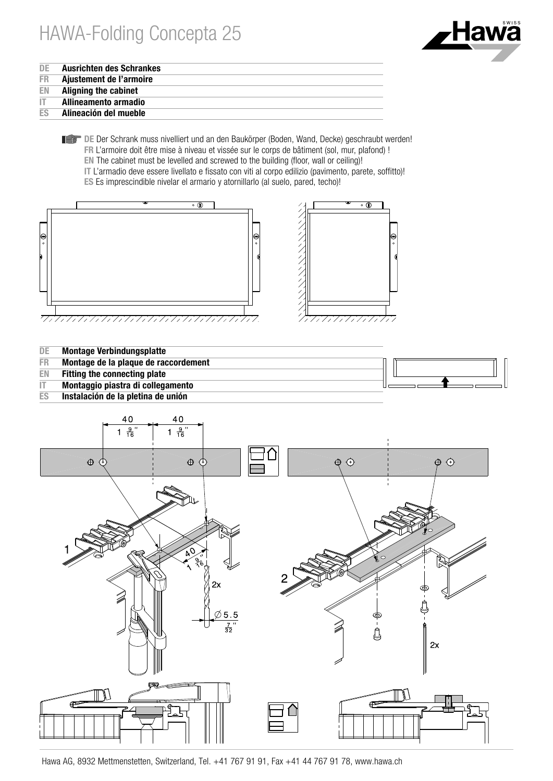

| DE |  | <b>Ausrichten des Schrankes</b> |
|----|--|---------------------------------|
|----|--|---------------------------------|

- FR Ajustement de l'armoire<br>EN Alianing the cabinet
- **Aligning the cabinet**
- **IT** Allineamento armadio<br>ES Alineación del mueble
- Alineación del mueble
	- DE Der Schrank muss nivelliert und an den Baukörper (Boden, Wand, Decke) geschraubt werden! FR L'armoire doit être mise à niveau et vissée sur le corps de bâtiment (sol, mur, plafond) ! EN The cabinet must be levelled and screwed to the building (floor, wall or ceiling)! IT L'armadio deve essere livellato e fissato con viti al corpo edilizio (pavimento, parete, soffitto)! ES Es imprescindible nivelar el armario y atornillarlo (al suelo, pared, techo)!









Hawa AG, 8932 Mettmenstetten, Switzerland, Tel. +41 767 91 91, Fax +41 44 767 91 78, www.hawa.ch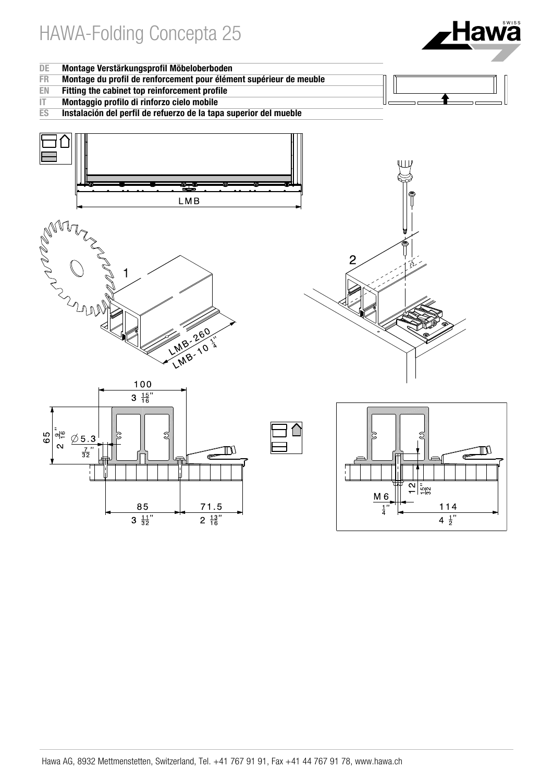

- DE Montage Verstärkungsprofil Möbeloberboden<br>FR Montage du profil de renforcement pour élém
- FR Montage du profil de renforcement pour élément supérieur de meuble<br>EN Fitting the cabinet top reinforcement profile
- Fitting the cabinet top reinforcement profile
- IT Montaggio profilo di rinforzo cielo mobile<br>ES Instalación del perfil de refuerzo de la tap
- Instalación del perfil de refuerzo de la tapa superior del mueble